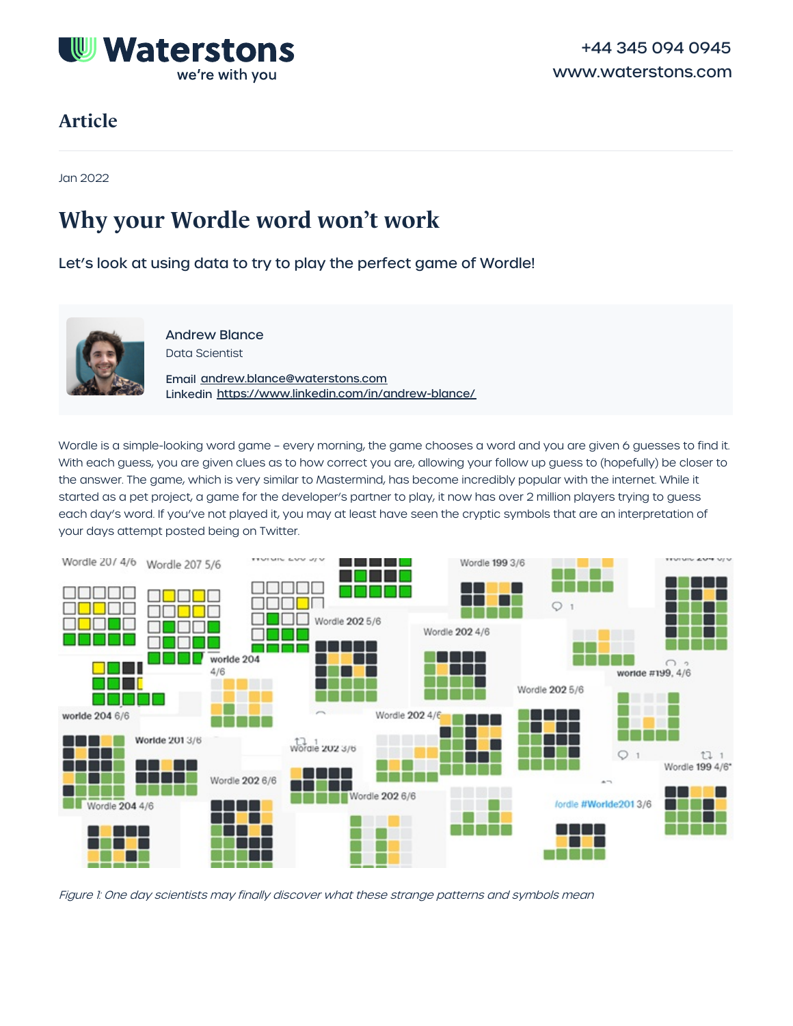

## **Article**

Jan 2022

# **Why your Wordle word won't work**

Let's look at using data to try to play the perfect game of Wordle!



Andrew Blance Data Scientist

Email [andrew.blance@waterstons.com](mailto:andrew.blance@waterstons.com) Linkedin <https://www.linkedin.com/in/andrew-blance/>

Wordle is a simple-looking word game - every morning, the game chooses a word and you are given 6 guesses to find it. With each guess, you are given clues as to how correct you are, allowing your follow up guess to (hopefully) be closer to the answer. The game, which is very similar to Mastermind, has become incredibly popular with the internet. While it started as a pet project, a game for the developer's partner to play, it now has over 2 million players trying to guess each day's word. If you've not played it, you may at least have seen the cryptic symbols that are an interpretation of your days attempt posted being on Twitter.



Figure 1: One day scientists may finally discover what these strange patterns and symbols mean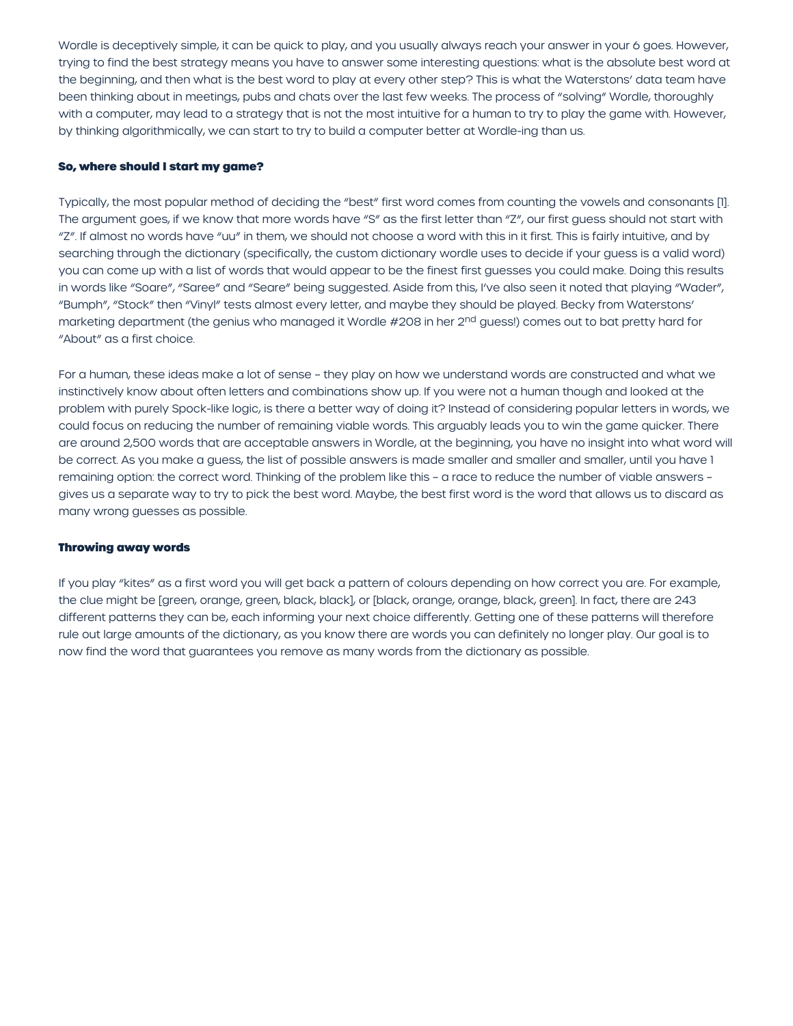Wordle is deceptively simple, it can be quick to play, and you usually always reach your answer in your 6 goes. However, trying to find the best strategy means you have to answer some interesting questions: what is the absolute best word at the beginning, and then what is the best word to play at every other step? This is what the Waterstons' data team have been thinking about in meetings, pubs and chats over the last few weeks. The process of "solving" Wordle, thoroughly with a computer, may lead to a strategy that is not the most intuitive for a human to try to play the game with. However, by thinking algorithmically, we can start to try to build a computer better at Wordle-ing than us.

### **So, where should I start my game?**

Typically, the most popular method of deciding the "best" first word comes from counting the vowels and consonants [1]. The argument goes, if we know that more words have "S" as the first letter than "Z", our first guess should not start with "Z". If almost no words have "uu" in them, we should not choose a word with this in it first. This is fairly intuitive, and by searching through the dictionary (specifically, the custom dictionary wordle uses to decide if your guess is a valid word) you can come up with a list of words that would appear to be the finest first guesses you could make. Doing this results in words like "Soare", "Saree" and "Seare" being suggested. Aside from this, I've also seen it noted that playing "Wader", "Bumph", "Stock" then "Vinyl" tests almost every letter, and maybe they should be played. Becky from Waterstons' marketing department (the genius who managed it Wordle #208 in her 2<sup>nd</sup> guess!) comes out to bat pretty hard for "About" as a first choice.

For a human, these ideas make a lot of sense – they play on how we understand words are constructed and what we instinctively know about often letters and combinations show up. If you were not a human though and looked at the problem with purely Spock-like logic, is there a better way of doing it? Instead of considering popular letters in words, we could focus on reducing the number of remaining viable words. This arguably leads you to win the game quicker. There are around 2,500 words that are acceptable answers in Wordle, at the beginning, you have no insight into what word will be correct. As you make a guess, the list of possible answers is made smaller and smaller and smaller, until you have 1 remaining option: the correct word. Thinking of the problem like this – a race to reduce the number of viable answers – gives us a separate way to try to pick the best word. Maybe, the best first word is the word that allows us to discard as many wrong guesses as possible.

### **Throwing away words**

If you play "kites" as a first word you will get back a pattern of colours depending on how correct you are. For example, the clue might be [green, orange, green, black, black], or [black, orange, orange, black, green]. In fact, there are 243 different patterns they can be, each informing your next choice differently. Getting one of these patterns will therefore rule out large amounts of the dictionary, as you know there are words you can definitely no longer play. Our goal is to now find the word that guarantees you remove as many words from the dictionary as possible.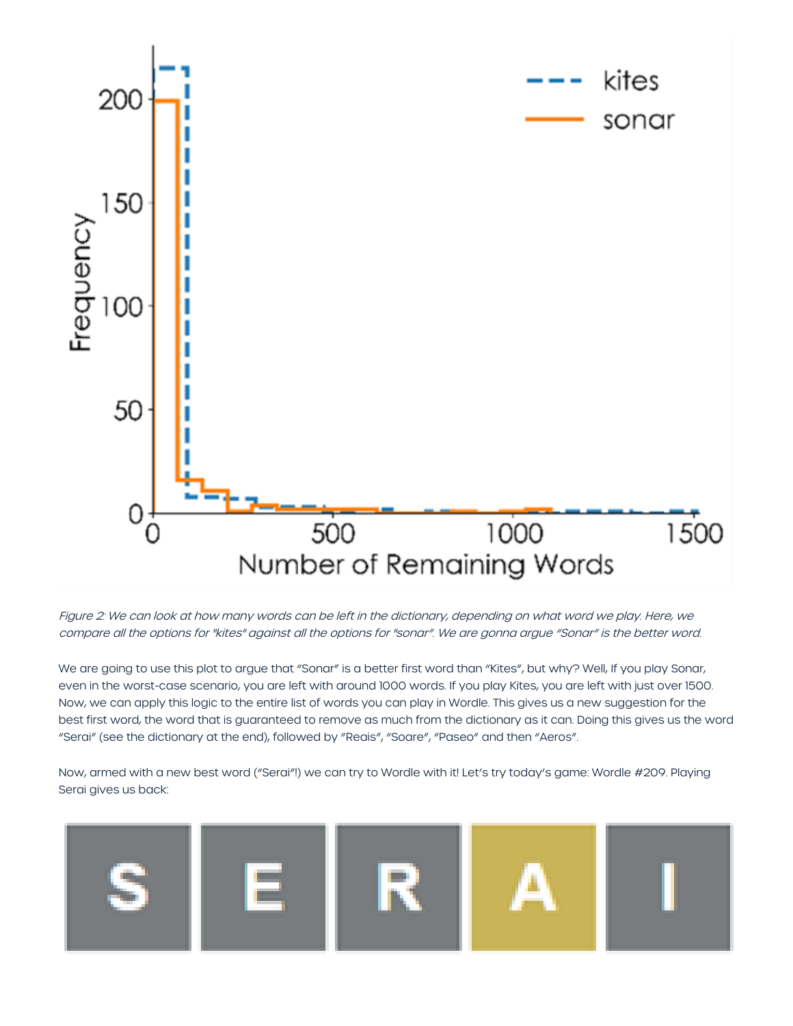

Figure 2: We can look at how many words can be left in the dictionary, depending on what word we play. Here, we compare all the options for "kites" against all the options for "sonar". We are gonna argue "Sonar" is the better word.

We are going to use this plot to argue that "Sonar" is a better first word than "Kites", but why? Well, If you play Sonar, even in the worst-case scenario, you are left with around 1000 words. If you play Kites, you are left with just over 1500. Now, we can apply this logic to the entire list of words you can play in Wordle. This gives us a new suggestion for the best first word, the word that is guaranteed to remove as much from the dictionary as it can. Doing this gives us the word "Serai" (see the dictionary at the end), followed by "Reais", "Soare", "Paseo" and then "Aeros".

Now, armed with a new best word ("Serai"!) we can try to Wordle with it! Let's try today's game: Wordle #209. Playing Serai gives us back:

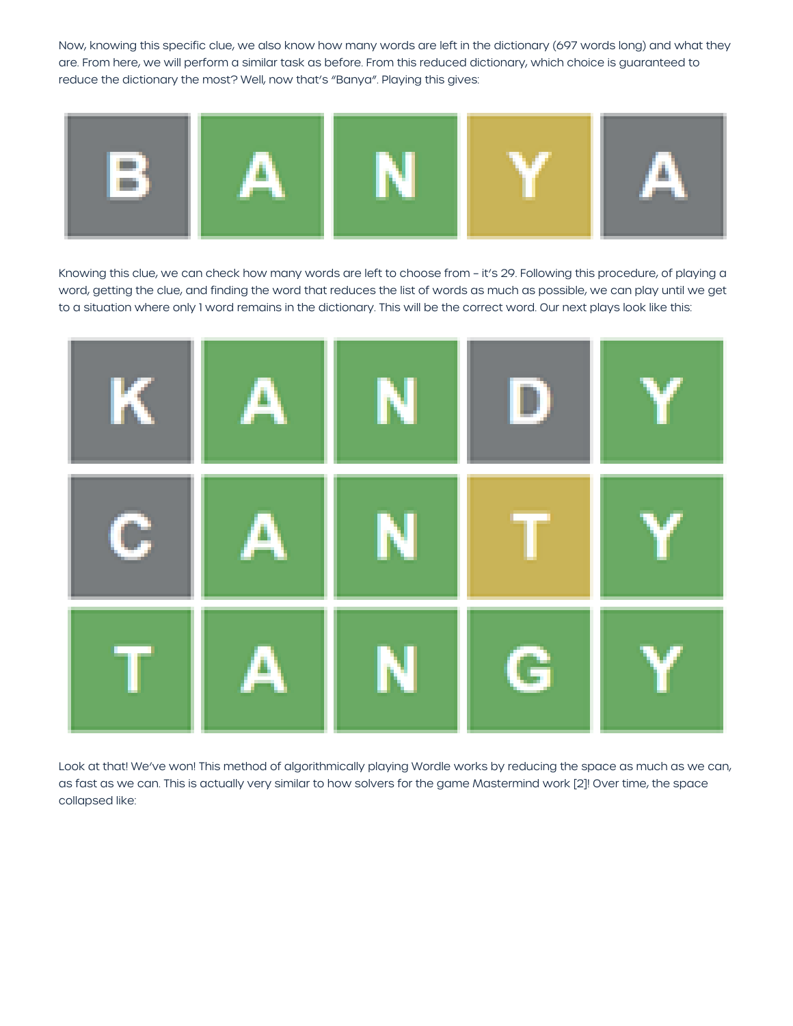Now, knowing this specific clue, we also know how many words are left in the dictionary (697 words long) and what they are. From here, we will perform a similar task as before. From this reduced dictionary, which choice is guaranteed to reduce the dictionary the most? Well, now that's "Banya". Playing this gives:



Knowing this clue, we can check how many words are left to choose from – it's 29. Following this procedure, of playing a word, getting the clue, and finding the word that reduces the list of words as much as possible, we can play until we get to a situation where only 1 word remains in the dictionary. This will be the correct word. Our next plays look like this:



Look at that! We've won! This method of algorithmically playing Wordle works by reducing the space as much as we can, as fast as we can. This is actually very similar to how solvers for the game Mastermind work [2]! Over time, the space collapsed like: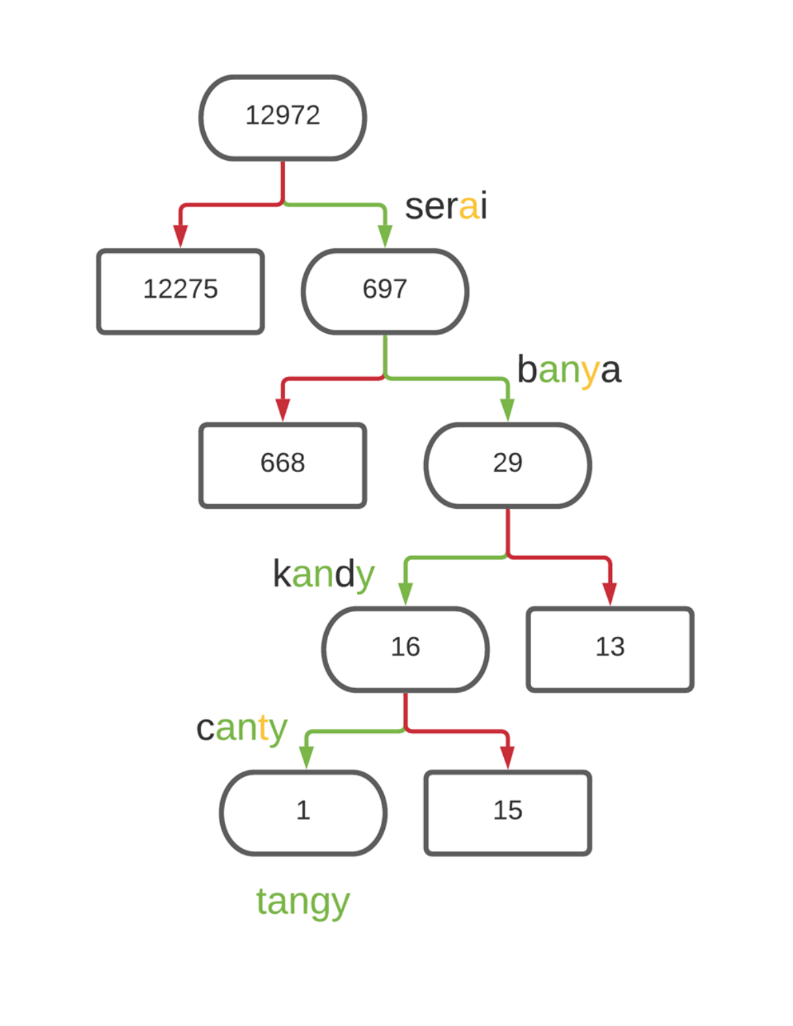